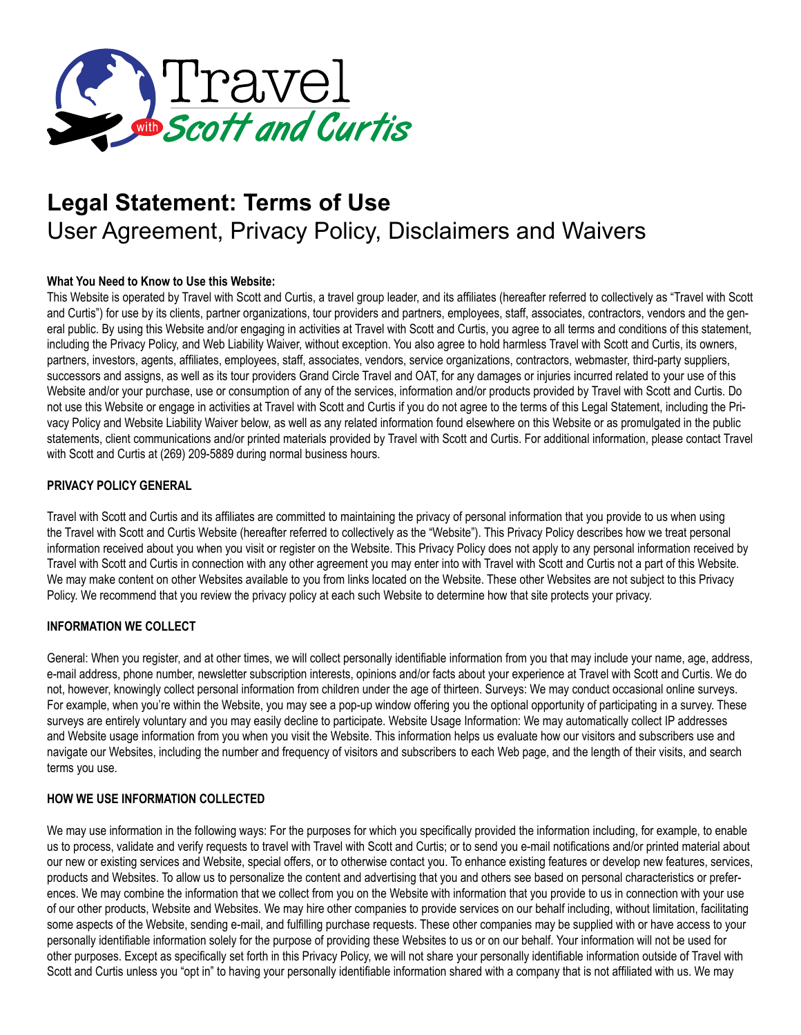

# **Legal Statement: Terms of Use** User Agreement, Privacy Policy, Disclaimers and Waivers

# **What You Need to Know to Use this Website:**

This Website is operated by Travel with Scott and Curtis, a travel group leader, and its affiliates (hereafter referred to collectively as "Travel with Scott and Curtis") for use by its clients, partner organizations, tour providers and partners, employees, staff, associates, contractors, vendors and the general public. By using this Website and/or engaging in activities at Travel with Scott and Curtis, you agree to all terms and conditions of this statement, including the Privacy Policy, and Web Liability Waiver, without exception. You also agree to hold harmless Travel with Scott and Curtis, its owners, partners, investors, agents, affiliates, employees, staff, associates, vendors, service organizations, contractors, webmaster, third-party suppliers, successors and assigns, as well as its tour providers Grand Circle Travel and OAT, for any damages or injuries incurred related to your use of this Website and/or your purchase, use or consumption of any of the services, information and/or products provided by Travel with Scott and Curtis. Do not use this Website or engage in activities at Travel with Scott and Curtis if you do not agree to the terms of this Legal Statement, including the Privacy Policy and Website Liability Waiver below, as well as any related information found elsewhere on this Website or as promulgated in the public statements, client communications and/or printed materials provided by Travel with Scott and Curtis. For additional information, please contact Travel with Scott and Curtis at (269) 209-5889 during normal business hours.

## **PRIVACY POLICY GENERAL**

Travel with Scott and Curtis and its affiliates are committed to maintaining the privacy of personal information that you provide to us when using the Travel with Scott and Curtis Website (hereafter referred to collectively as the "Website"). This Privacy Policy describes how we treat personal information received about you when you visit or register on the Website. This Privacy Policy does not apply to any personal information received by Travel with Scott and Curtis in connection with any other agreement you may enter into with Travel with Scott and Curtis not a part of this Website. We may make content on other Websites available to you from links located on the Website. These other Websites are not subject to this Privacy Policy. We recommend that you review the privacy policy at each such Website to determine how that site protects your privacy.

# **INFORMATION WE COLLECT**

General: When you register, and at other times, we will collect personally identifiable information from you that may include your name, age, address, e-mail address, phone number, newsletter subscription interests, opinions and/or facts about your experience at Travel with Scott and Curtis. We do not, however, knowingly collect personal information from children under the age of thirteen. Surveys: We may conduct occasional online surveys. For example, when you're within the Website, you may see a pop-up window offering you the optional opportunity of participating in a survey. These surveys are entirely voluntary and you may easily decline to participate. Website Usage Information: We may automatically collect IP addresses and Website usage information from you when you visit the Website. This information helps us evaluate how our visitors and subscribers use and navigate our Websites, including the number and frequency of visitors and subscribers to each Web page, and the length of their visits, and search terms you use.

#### **HOW WE USE INFORMATION COLLECTED**

We may use information in the following ways: For the purposes for which you specifically provided the information including, for example, to enable us to process, validate and verify requests to travel with Travel with Scott and Curtis; or to send you e-mail notifications and/or printed material about our new or existing services and Website, special offers, or to otherwise contact you. To enhance existing features or develop new features, services, products and Websites. To allow us to personalize the content and advertising that you and others see based on personal characteristics or preferences. We may combine the information that we collect from you on the Website with information that you provide to us in connection with your use of our other products, Website and Websites. We may hire other companies to provide services on our behalf including, without limitation, facilitating some aspects of the Website, sending e-mail, and fulfilling purchase requests. These other companies may be supplied with or have access to your personally identifiable information solely for the purpose of providing these Websites to us or on our behalf. Your information will not be used for other purposes. Except as specifically set forth in this Privacy Policy, we will not share your personally identifiable information outside of Travel with Scott and Curtis unless you "opt in" to having your personally identifiable information shared with a company that is not affiliated with us. We may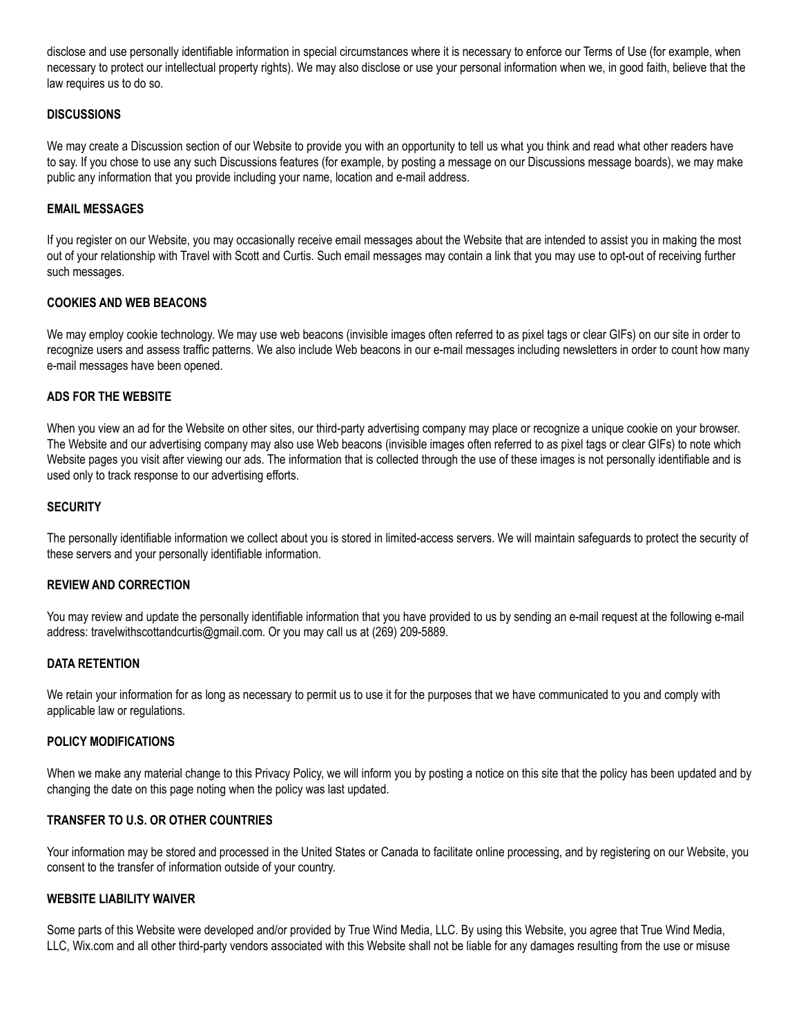disclose and use personally identifiable information in special circumstances where it is necessary to enforce our Terms of Use (for example, when necessary to protect our intellectual property rights). We may also disclose or use your personal information when we, in good faith, believe that the law requires us to do so.

#### **DISCUSSIONS**

We may create a Discussion section of our Website to provide you with an opportunity to tell us what you think and read what other readers have to say. If you chose to use any such Discussions features (for example, by posting a message on our Discussions message boards), we may make public any information that you provide including your name, location and e-mail address.

## **EMAIL MESSAGES**

If you register on our Website, you may occasionally receive email messages about the Website that are intended to assist you in making the most out of your relationship with Travel with Scott and Curtis. Such email messages may contain a link that you may use to opt-out of receiving further such messages.

## **COOKIES AND WEB BEACONS**

We may employ cookie technology. We may use web beacons (invisible images often referred to as pixel tags or clear GIFs) on our site in order to recognize users and assess traffic patterns. We also include Web beacons in our e-mail messages including newsletters in order to count how many e-mail messages have been opened.

#### **ADS FOR THE WEBSITE**

When you view an ad for the Website on other sites, our third-party advertising company may place or recognize a unique cookie on your browser. The Website and our advertising company may also use Web beacons (invisible images often referred to as pixel tags or clear GIFs) to note which Website pages you visit after viewing our ads. The information that is collected through the use of these images is not personally identifiable and is used only to track response to our advertising efforts.

## **SECURITY**

The personally identifiable information we collect about you is stored in limited-access servers. We will maintain safeguards to protect the security of these servers and your personally identifiable information.

#### **REVIEW AND CORRECTION**

You may review and update the personally identifiable information that you have provided to us by sending an e-mail request at the following e-mail address: travelwithscottandcurtis@gmail.com. Or you may call us at (269) 209-5889.

#### **DATA RETENTION**

We retain your information for as long as necessary to permit us to use it for the purposes that we have communicated to you and comply with applicable law or regulations.

#### **POLICY MODIFICATIONS**

When we make any material change to this Privacy Policy, we will inform you by posting a notice on this site that the policy has been updated and by changing the date on this page noting when the policy was last updated.

# **TRANSFER TO U.S. OR OTHER COUNTRIES**

Your information may be stored and processed in the United States or Canada to facilitate online processing, and by registering on our Website, you consent to the transfer of information outside of your country.

#### **WEBSITE LIABILITY WAIVER**

Some parts of this Website were developed and/or provided by True Wind Media, LLC. By using this Website, you agree that True Wind Media, LLC, Wix.com and all other third-party vendors associated with this Website shall not be liable for any damages resulting from the use or misuse